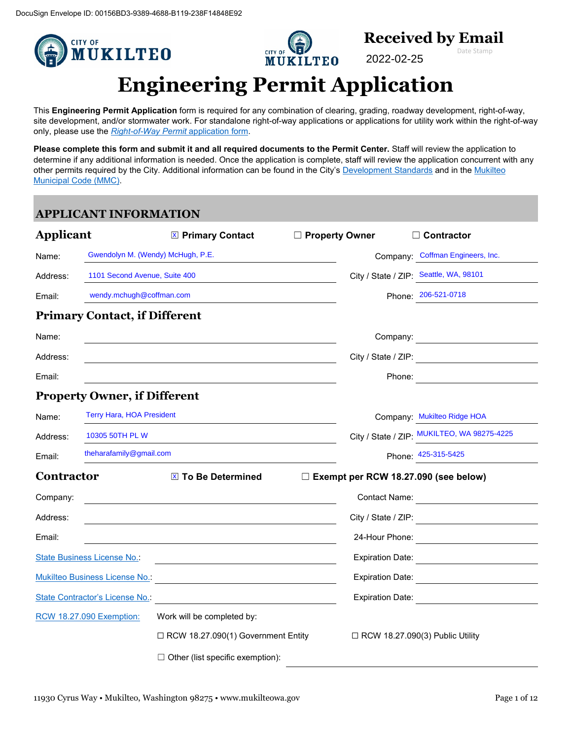

This **Engineering Permit Application** form is required for any combination of clearing, grading, roadway development, right-of-way, site development, and/or stormwater work. For standalone right-of-way applications or applications for utility work within the right-of-way only, please use the *[Right-of-Way Permit](https://ci-mukilteo-wa.smartgovcommunity.com/Public/DocumentsView)* application form.

**Please complete this form and submit it and all required documents to the Permit Center.** Staff will review the application to determine if any additional information is needed. Once the application is complete, staff will review the application concurrent with any other permits required by the City. Additional information can be found in the City'[s Development Standards](https://mukilteowa.gov/departments/public-works/development-services/) and in the Mukilteo [Municipal Code \(MMC\).](https://www.codepublishing.com/WA/Mukilteo/)

# **APPLICANT INFORMATION**

| <b>Applicant</b>  |                                      | <b>EX Primary Contact</b>                                    | □ Property Owner |                                        | $\Box$ Contractor                                                                                                    |
|-------------------|--------------------------------------|--------------------------------------------------------------|------------------|----------------------------------------|----------------------------------------------------------------------------------------------------------------------|
| Name:             | Gwendolyn M. (Wendy) McHugh, P.E.    |                                                              |                  |                                        | Company: Coffman Engineers, Inc.                                                                                     |
| Address:          | 1101 Second Avenue, Suite 400        |                                                              |                  |                                        | City / State / ZIP: Seattle, WA, 98101                                                                               |
| Email:            | wendy.mchugh@coffman.com             |                                                              |                  |                                        | Phone: 206-521-0718                                                                                                  |
|                   | <b>Primary Contact, if Different</b> |                                                              |                  |                                        |                                                                                                                      |
| Name:             |                                      |                                                              |                  |                                        | Company:                                                                                                             |
| Address:          |                                      |                                                              |                  |                                        | City / State / ZIP:                                                                                                  |
| Email:            |                                      |                                                              |                  | Phone:                                 | <u> 1989 - Jan Stein Stein Stein Stein Stein Stein Stein Stein Stein Stein Stein Stein Stein Stein Stein Stein S</u> |
|                   | <b>Property Owner, if Different</b>  |                                                              |                  |                                        |                                                                                                                      |
| Name:             | <b>Terry Hara, HOA President</b>     |                                                              |                  |                                        | Company: Mukilteo Ridge HOA                                                                                          |
| Address:          | 10305 50TH PL W                      |                                                              |                  |                                        | City / State / ZIP: MUKILTEO, WA 98275-4225                                                                          |
| Email:            | theharafamily@gmail.com              |                                                              |                  |                                        | Phone: 425-315-5425                                                                                                  |
| <b>Contractor</b> |                                      | X To Be Determined                                           |                  |                                        | $\Box$ Exempt per RCW 18.27.090 (see below)                                                                          |
| Company:          |                                      |                                                              |                  |                                        | Contact Name:                                                                                                        |
| Address:          |                                      |                                                              |                  |                                        | City / State / ZIP:                                                                                                  |
| Email:            |                                      |                                                              |                  |                                        | 24-Hour Phone: <u>________________________</u>                                                                       |
|                   | <b>State Business License No.:</b>   |                                                              |                  | <b>Expiration Date:</b>                |                                                                                                                      |
|                   | Mukilteo Business License No.        |                                                              |                  |                                        | Expiration Date:                                                                                                     |
|                   | State Contractor's License No.       | <u> 1980 - Johann Barbara, martxa eta idazlea (h. 1980).</u> |                  |                                        | Expiration Date: <u>_______________________</u>                                                                      |
|                   | <b>RCW 18.27.090 Exemption:</b>      | Work will be completed by:                                   |                  |                                        |                                                                                                                      |
|                   |                                      | □ RCW 18.27.090(1) Government Entity                         |                  | $\Box$ RCW 18.27.090(3) Public Utility |                                                                                                                      |
|                   |                                      | $\Box$ Other (list specific exemption):                      |                  |                                        |                                                                                                                      |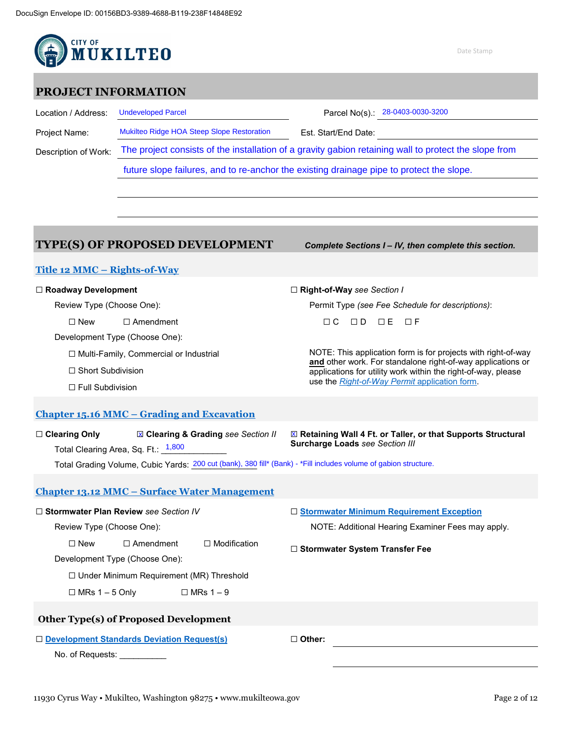

### **PROJECT INFORMATION**

Location / Address: Undeveloped Parcel Note 28-0403-0030-3200

Project Name: Est. Start/End Date: Mukilteo Ridge HOA Steep Slope Restoration 28-0403-0030-3200

Description of Work:

Mukilteo Ridge HOA Steep Slope Restoration<br>The project consists of the installation of a gravity gabion retaining wall to protect the slope from

future slope failures, and to re-anchor the existing drainage pipe to protect the slope.

## **TYPE(S) OF PROPOSED DEVELOPMENT** *Complete Sections I – IV, then complete this section.*

### **[Title 12 MMC –](https://www.codepublishing.com/WA/Mukilteo/#!/Mukilteo12/Mukilteo12.html) Rights-of-Way**

#### ☐ **Roadway Development**

Review Type (Choose One):

☐ New ☐ Amendment

Development Type (Choose One):

☐ Multi-Family, Commercial or Industrial

☐ Short Subdivision

☐ Full Subdivision

☐ **Right-of-Way** *see Section I*

Permit Type *(see Fee Schedule for descriptions)*:

**□C □D □E □F** 

NOTE: This application form is for projects with right-of-way **and** other work. For standalone right-of-way applications or applications for utility work within the right-of-way, please use the *[Right-of-Way Permit](https://ci-mukilteo-wa.smartgovcommunity.com/Public/DocumentsView)* application form.

### **Chapter 15.16 MMC – [Grading and Excavation](https://www.codepublishing.com/WA/Mukilteo/#!/Mukilteo15/Mukilteo1516.html)**

☐ **Clearing Only** ☐ **Clearing & Grading** *see Section II* x x Total Clearing Area, Sq. Ft.: <sup>\_1,800</sup>\_\_\_\_\_\_\_\_\_ ☐ **Retaining Wall 4 Ft. or Taller, or that Supports Structural Surcharge Loads** *see Section III*

Total Grading Volume, Cubic Yards: <u>200 cut (bank), 380</u> fill\* (Bank) - \*Fill includes volume of gabion structure.

### **Chapter 13.12 MMC – [Surface Water Management](https://www.codepublishing.com/WA/Mukilteo/#!/Mukilteo13/Mukilteo1312.html)**

| $\Box$ Stormwater Plan Review see Section IV           |  |  | $\Box$ Stormwater Minimum Requirement Exception   |  |  |
|--------------------------------------------------------|--|--|---------------------------------------------------|--|--|
| Review Type (Choose One):                              |  |  | NOTE: Additional Hearing Examiner Fees may apply. |  |  |
| $\Box$ Amendment<br>l Modification.<br>$\Box$ New<br>П |  |  | □ Stormwater System Transfer Fee                  |  |  |
| Development Type (Choose One):                         |  |  |                                                   |  |  |
| $\Box$ Under Minimum Requirement (MR) Threshold        |  |  |                                                   |  |  |
| $\Box$ MRs 1 – 5 Only<br>$\Box$ MRs 1 – 9              |  |  |                                                   |  |  |
| Other Type(s) of Proposed Development                  |  |  |                                                   |  |  |
| □ Development Standards Deviation Request(s)           |  |  | $\Box$ Other:                                     |  |  |
| No. of Requests:                                       |  |  |                                                   |  |  |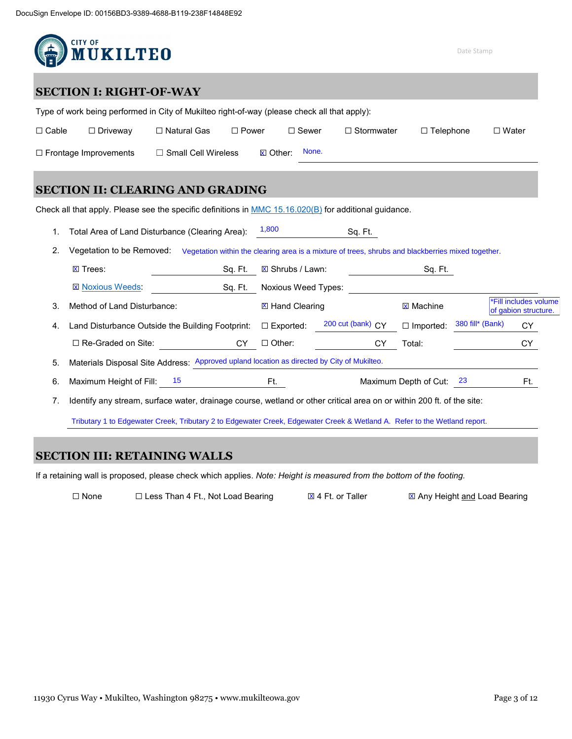

## **SECTION I: RIGHT-OF-WAY**

| Type of work being performed in City of Mukilteo right-of-way (please check all that apply): |                 |                            |              |          |              |                   |                  |              |  |
|----------------------------------------------------------------------------------------------|-----------------|----------------------------|--------------|----------|--------------|-------------------|------------------|--------------|--|
| $\Box$ Cable                                                                                 | $\Box$ Driveway | $\Box$ Natural Gas         | $\Box$ Power |          | $\Box$ Sewer | $\Box$ Stormwater | $\Box$ Telephone | $\Box$ Water |  |
| $\Box$ Frontage Improvements                                                                 |                 | $\Box$ Small Cell Wireless |              | ⊠ Other: | None.        |                   |                  |              |  |

## **SECTION II: CLEARING AND GRADING**

Check all that apply. Please see the specific definitions in [MMC 15.16.020\(B\)](https://www.codepublishing.com/WA/Mukilteo/#!/Mukilteo15/Mukilteo1516.html) for additional guidance.

1. Total Area of Land Disturbance (Clearing Area): 1,800 Sq. Ft.

2. Vegetation to be Removed: Vegetation within the clearing area is a mixture of trees, shrubs and blackberries mixed together.

| 2. | Vegetation to be Removed:                                                                  | Vegetation within the clearing area is a mixture of trees, shrubs and blackberries mixed together. |                            |                     |                       |                  |                                               |
|----|--------------------------------------------------------------------------------------------|----------------------------------------------------------------------------------------------------|----------------------------|---------------------|-----------------------|------------------|-----------------------------------------------|
|    | $X$ Trees:<br>Sa. Ft.                                                                      |                                                                                                    | $\boxtimes$ Shrubs / Lawn: |                     | Sq. Ft.               |                  |                                               |
|    | <b>X</b> Noxious Weeds:<br>Sq. Ft.                                                         |                                                                                                    | Noxious Weed Types:        |                     |                       |                  |                                               |
| 3. | Method of Land Disturbance:                                                                |                                                                                                    | <b>⊠ Hand Clearing</b>     |                     | <b>X</b> Machine      |                  | *Fill includes volume<br>of gabion structure. |
| 4. | Land Disturbance Outside the Building Footprint:                                           |                                                                                                    | $\Box$ Exported:           | 200 cut (bank) $CY$ | $\Box$ Imported:      | 380 fill* (Bank) | CY                                            |
|    | $\Box$ Re-Graded on Site:                                                                  | СY                                                                                                 | $\Box$ Other:              | СY                  | Total:                |                  | СY                                            |
| 5. | Materials Disposal Site Address: Approved upland location as directed by City of Mukilteo. |                                                                                                    |                            |                     |                       |                  |                                               |
| 6. | 15<br>Maximum Height of Fill:                                                              |                                                                                                    | Ft.                        |                     | Maximum Depth of Cut: | 23               | Ft.                                           |

7. Identify any stream, surface water, drainage course, wetland or other critical area on or within 200 ft. of the site:

Tributary 1 to Edgewater Creek, Tributary 2 to Edgewater Creek, Edgewater Creek & Wetland A. Refer to the Wetland report.

## **SECTION III: RETAINING WALLS**

If a retaining wall is proposed, please check which applies. *Note: Height is measured from the bottom of the footing.*

☐ None ☐ Less Than 4 Ft., Not Load Bearing ☐ 4 Ft. or Taller ☐ Any Height and Load Bearing

X 4 Ft. or Taller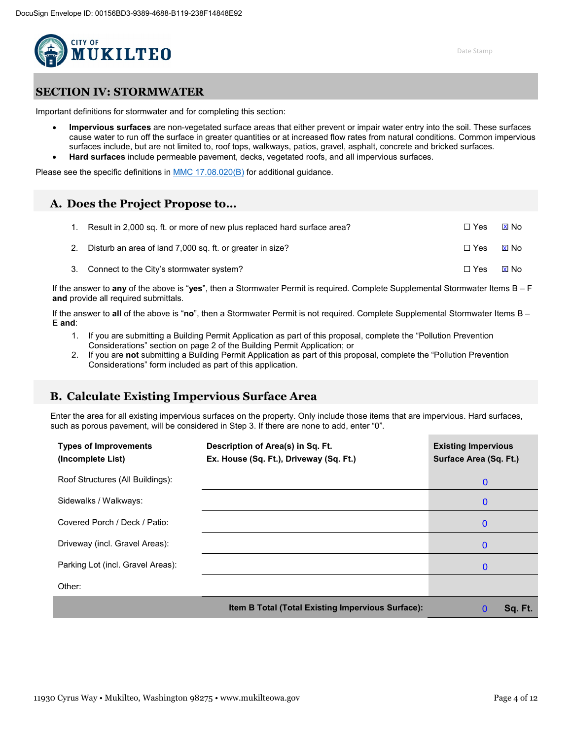

## **SECTION IV: STORMWATER**

Important definitions for stormwater and for completing this section:

• **Impervious surfaces** are non-vegetated surface areas that either prevent or impair water entry into the soil. These surfaces cause water to run off the surface in greater quantities or at increased flow rates from natural conditions. Common impervious surfaces include, but are not limited to, roof tops, walkways, patios, gravel, asphalt, concrete and bricked surfaces. • **Hard surfaces** include permeable pavement, decks, vegetated roofs, and all impervious surfaces.

Please see the specific definitions in [MMC 17.08.020\(B\)](https://www.codepublishing.com/WA/Mukilteo/#!/Mukilteo17/Mukilteo1708.html) for additional guidance.

### **A. Does the Project Propose to…**

| Result in 2,000 sq. ft. or more of new plus replaced hard surface area? | $\sqcap$ Yes | <b>X</b> No |
|-------------------------------------------------------------------------|--------------|-------------|
| 2. Disturb an area of land 7,000 sq. ft. or greater in size?            | $\Box$ Yes   | ⊠ No        |
| 3. Connect to the City's stormwater system?                             | $\Box$ Yes   | ⊠ No        |

If the answer to **any** of the above is "**yes**", then a Stormwater Permit is required. Complete Supplemental Stormwater Items B – F **and** provide all required submittals.

If the answer to **all** of the above is "**no**", then a Stormwater Permit is not required. Complete Supplemental Stormwater Items B – E **and**:

- 1. If you are submitting a Building Permit Application as part of this proposal, complete the "Pollution Prevention Considerations" section on page 2 of the Building Permit Application; or
- 2. If you are **not** submitting a Building Permit Application as part of this proposal, complete the "Pollution Prevention Considerations" form included as part of this application.

## **B. Calculate Existing Impervious Surface Area**

Enter the area for all existing impervious surfaces on the property. Only include those items that are impervious. Hard surfaces, such as porous pavement, will be considered in Step 3. If there are none to add, enter "0".

| <b>Types of Improvements</b><br>(Incomplete List) | Description of Area(s) in Sq. Ft.<br>Ex. House (Sq. Ft.), Driveway (Sq. Ft.) | <b>Existing Impervious</b><br>Surface Area (Sq. Ft.) |
|---------------------------------------------------|------------------------------------------------------------------------------|------------------------------------------------------|
| Roof Structures (All Buildings):                  |                                                                              | $\mathbf 0$                                          |
| Sidewalks / Walkways:                             |                                                                              | $\mathbf 0$                                          |
| Covered Porch / Deck / Patio:                     |                                                                              | $\bf{0}$                                             |
| Driveway (incl. Gravel Areas):                    |                                                                              | $\bf{0}$                                             |
| Parking Lot (incl. Gravel Areas):                 |                                                                              | $\bf{0}$                                             |
| Other:                                            |                                                                              |                                                      |
|                                                   | Item B Total (Total Existing Impervious Surface):                            | Sq. Ft.<br>$\bf{0}$                                  |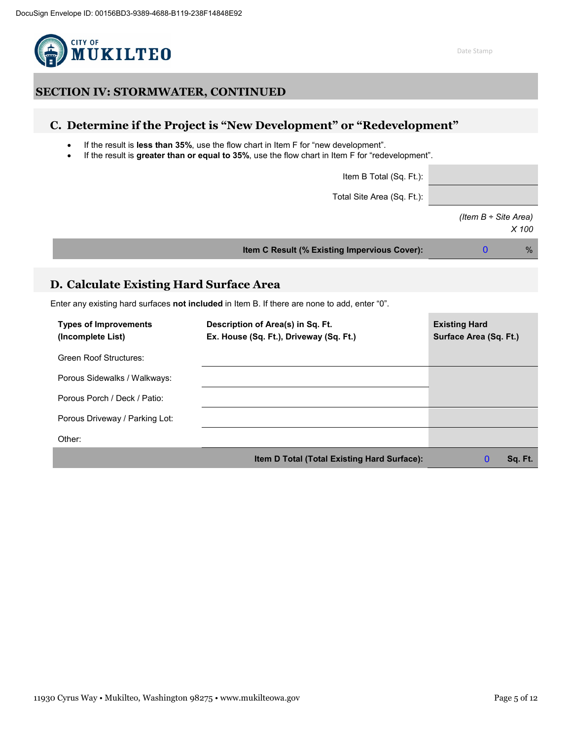

# **C. Determine if the Project is "New Development" or "Redevelopment"**

- If the result is **less than 35%**, use the flow chart in Item F for "new development".
- If the result is **greater than or equal to 35%**, use the flow chart in Item F for "redevelopment".

Item B Total (Sq. Ft.):

Total Site Area (Sq. Ft.):

*(Item B ÷ Site Area) X 100*

0

**Item C Result (% Existing Impervious Cover):** %

## **D. Calculate Existing Hard Surface Area**

Enter any existing hard surfaces **not included** in Item B. If there are none to add, enter "0".

| <b>Types of Improvements</b><br>(Incomplete List) | Description of Area(s) in Sq. Ft.<br>Ex. House (Sq. Ft.), Driveway (Sq. Ft.) | <b>Existing Hard</b><br>Surface Area (Sq. Ft.) |
|---------------------------------------------------|------------------------------------------------------------------------------|------------------------------------------------|
| Green Roof Structures:                            |                                                                              |                                                |
| Porous Sidewalks / Walkways:                      |                                                                              |                                                |
| Porous Porch / Deck / Patio:                      |                                                                              |                                                |
| Porous Driveway / Parking Lot:                    |                                                                              |                                                |
| Other:                                            |                                                                              |                                                |
|                                                   | Item D Total (Total Existing Hard Surface):                                  | Sq. Ft.                                        |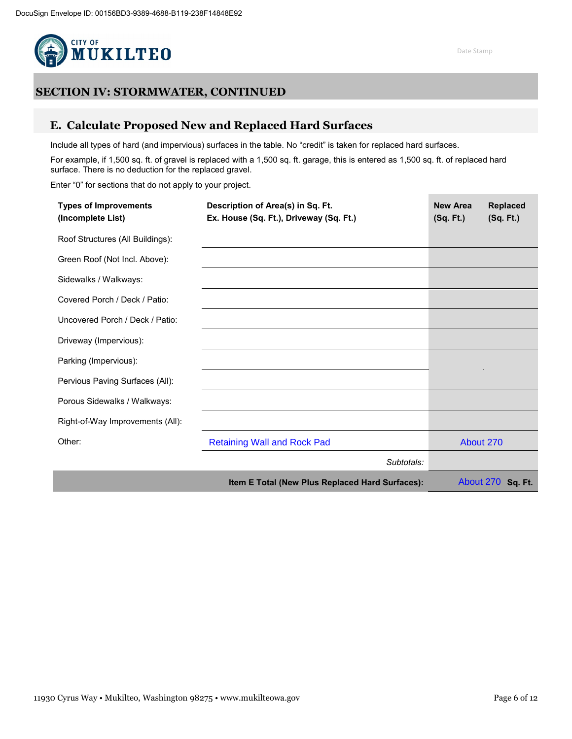

## **E. Calculate Proposed New and Replaced Hard Surfaces**

Include all types of hard (and impervious) surfaces in the table. No "credit" is taken for replaced hard surfaces.

For example, if 1,500 sq. ft. of gravel is replaced with a 1,500 sq. ft. garage, this is entered as 1,500 sq. ft. of replaced hard surface. There is no deduction for the replaced gravel.

Enter "0" for sections that do not apply to your project.

| <b>Types of Improvements</b><br>(Incomplete List) | Description of Area(s) in Sq. Ft.<br>Ex. House (Sq. Ft.), Driveway (Sq. Ft.) | <b>New Area</b><br>(Sq. Ft.) | <b>Replaced</b><br>(Sq. Ft.) |
|---------------------------------------------------|------------------------------------------------------------------------------|------------------------------|------------------------------|
| Roof Structures (All Buildings):                  |                                                                              |                              |                              |
| Green Roof (Not Incl. Above):                     |                                                                              |                              |                              |
| Sidewalks / Walkways:                             |                                                                              |                              |                              |
| Covered Porch / Deck / Patio:                     |                                                                              |                              |                              |
| Uncovered Porch / Deck / Patio:                   |                                                                              |                              |                              |
| Driveway (Impervious):                            |                                                                              |                              |                              |
| Parking (Impervious):                             |                                                                              |                              |                              |
| Pervious Paving Surfaces (All):                   |                                                                              |                              |                              |
| Porous Sidewalks / Walkways:                      |                                                                              |                              |                              |
| Right-of-Way Improvements (All):                  |                                                                              |                              |                              |
| Other:                                            | <b>Retaining Wall and Rock Pad</b>                                           |                              | About 270                    |
|                                                   | Subtotals:                                                                   |                              |                              |
|                                                   | Item E Total (New Plus Replaced Hard Surfaces):                              |                              | About 270 Sq. Ft.            |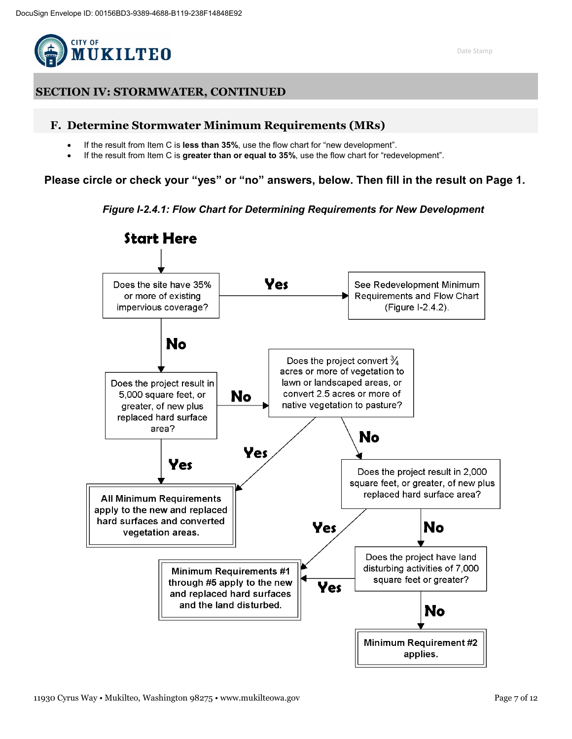

### **F. Determine Stormwater Minimum Requirements (MRs)**

- If the result from Item C is **less than 35%**, use the flow chart for "new development".
- If the result from Item C is **greater than or equal to 35%**, use the flow chart for "redevelopment".

**Please circle or check your "yes" or "no" answers, below. Then fill in the result on Page 1.**

*Figure I-2.4.1: Flow Chart for Determining Requirements for New Development*

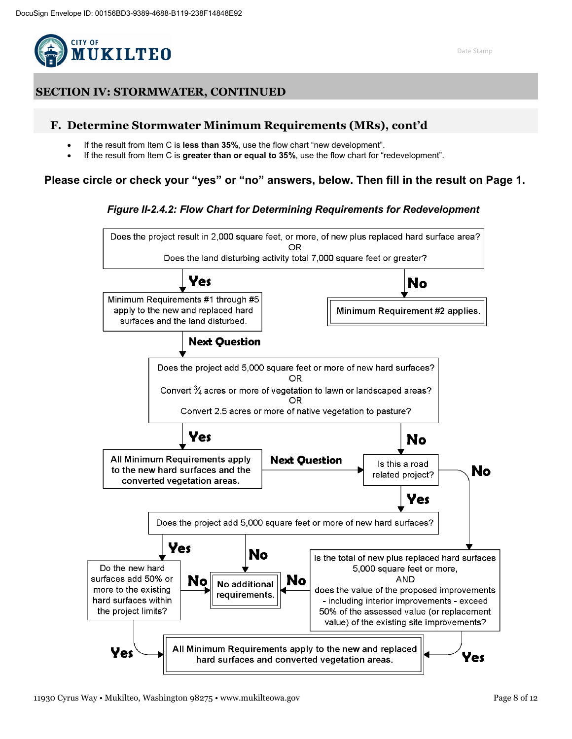

## **F. Determine Stormwater Minimum Requirements (MRs), cont'd**

- If the result from Item C is **less than 35%**, use the flow chart "new development".
- If the result from Item C is **greater than or equal to 35%**, use the flow chart for "redevelopment".

## **Please circle or check your "yes" or "no" answers, below. Then fill in the result on Page 1.**

### *Figure II-2.4.2: Flow Chart for Determining Requirements for Redevelopment*

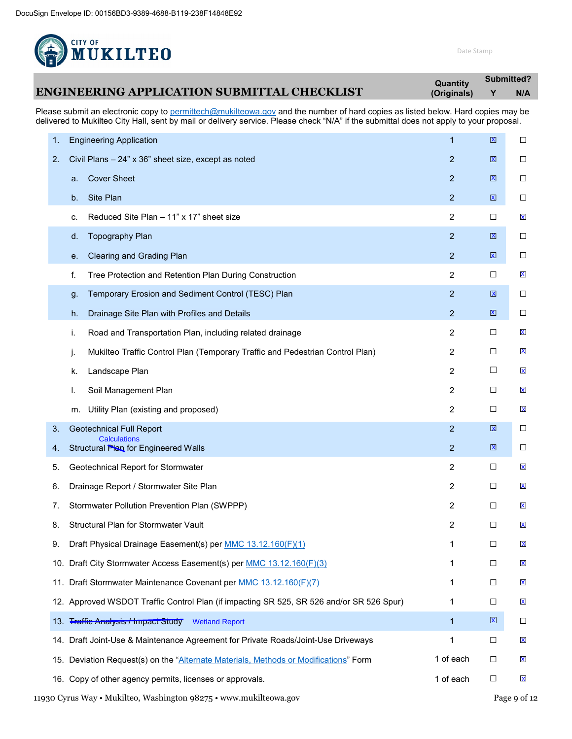

**Submitted?**

|                                                                                                                               | Quantity    | <b>VUNIIILLVU I</b> |     |  |
|-------------------------------------------------------------------------------------------------------------------------------|-------------|---------------------|-----|--|
| <b>ENGINEERING APPLICATION SUBMITTAL CHECKLIST</b>                                                                            | (Originals) |                     | N/A |  |
| Dleess submit on electronic soputo nermitteeb@mukilteeus gevond the number of berd senies on listed beleuw Herd senies mov be |             |                     |     |  |

Please submit an electronic copy to **permittech@mukilteowa.gov** and the number of hard copies as listed below. Hard copies may be delivered to Mukilteo City Hall, sent by mail or delivery service. Please check "N/A" if the submittal does not apply to your proposal.

| 1. | <b>Engineering Application</b>                                                           | 1              | X                       | $\Box$                  |
|----|------------------------------------------------------------------------------------------|----------------|-------------------------|-------------------------|
| 2. | Civil Plans - 24" x 36" sheet size, except as noted                                      | $\overline{2}$ | X                       | $\Box$                  |
|    | <b>Cover Sheet</b><br>a.                                                                 | $\overline{2}$ | X                       | $\Box$                  |
|    | Site Plan<br>b.                                                                          | $\overline{2}$ | $\overline{\mathbf{x}}$ | □                       |
|    | Reduced Site Plan - 11" x 17" sheet size<br>c.                                           | 2              | □                       | $\mathbf x$             |
|    | <b>Topography Plan</b><br>d.                                                             | $\overline{2}$ | X                       | $\Box$                  |
|    | Clearing and Grading Plan<br>е.                                                          | $\overline{2}$ | $\mathbf{x}$            | $\Box$                  |
|    | Tree Protection and Retention Plan During Construction<br>f.                             | 2              | □                       | X                       |
|    | Temporary Erosion and Sediment Control (TESC) Plan<br>g.                                 | $\overline{2}$ | X                       | $\Box$                  |
|    | Drainage Site Plan with Profiles and Details<br>h.                                       | $\overline{2}$ | X                       | $\Box$                  |
|    | Road and Transportation Plan, including related drainage<br>i.                           | $\overline{c}$ | □                       | $\mathbf x$             |
|    | Mukilteo Traffic Control Plan (Temporary Traffic and Pedestrian Control Plan)<br>j.      | 2              | □                       | $\mathbf x$             |
|    | Landscape Plan<br>k.                                                                     | 2              | □                       | X                       |
|    | Soil Management Plan<br>I.                                                               | $\overline{2}$ | □                       | X                       |
|    | Utility Plan (existing and proposed)<br>m.                                               | $\overline{c}$ | □                       | $\mathbf x$             |
| 3. | <b>Geotechnical Full Report</b><br><b>Calculations</b>                                   | $\overline{2}$ | $\overline{\mathbf{x}}$ | $\Box$                  |
| 4. | Structural Plan for Engineered Walls                                                     | $\overline{2}$ | $\overline{\mathbf{x}}$ | $\Box$                  |
| 5. | Geotechnical Report for Stormwater                                                       | 2              | □                       | $\overline{\mathsf{X}}$ |
| 6. | Drainage Report / Stormwater Site Plan                                                   | 2              | □                       | $\mathbf x$             |
| 7. | Stormwater Pollution Prevention Plan (SWPPP)                                             | 2              | □                       | $\mathbf x$             |
| 8. | Structural Plan for Stormwater Vault                                                     | 2              | □                       | $\mathbf x$             |
| 9. | Draft Physical Drainage Easement(s) per MMC 13.12.160(F)(1)                              | 1              | □                       | X                       |
|    | 10. Draft City Stormwater Access Easement(s) per MMC 13.12.160(F)(3)                     | 1              | □                       | $\overline{\mathbf{x}}$ |
|    | 11. Draft Stormwater Maintenance Covenant per MMC 13.12.160(F)(7)                        | 1              | □                       | X                       |
|    | 12. Approved WSDOT Traffic Control Plan (if impacting SR 525, SR 526 and/or SR 526 Spur) | 1              | $\Box$                  | $\mathbf x$             |
|    | 13. Traffie Analysis / Impact Study<br><b>Wetland Report</b>                             | $\mathbf{1}$   | $\overline{\mathbf{X}}$ | □                       |
|    | 14. Draft Joint-Use & Maintenance Agreement for Private Roads/Joint-Use Driveways        | 1              | □                       | $\overline{\mathbf{x}}$ |
|    | 15. Deviation Request(s) on the "Alternate Materials, Methods or Modifications" Form     | 1 of each      | □                       | X                       |
|    | 16. Copy of other agency permits, licenses or approvals.                                 | 1 of each      | □                       | $\mathsf{\mathsf{X}}$   |
|    |                                                                                          |                |                         |                         |

11930 Cyrus Way • Mukilteo, Washington 98275 • www.mukilteowa.gov Page 9 of 12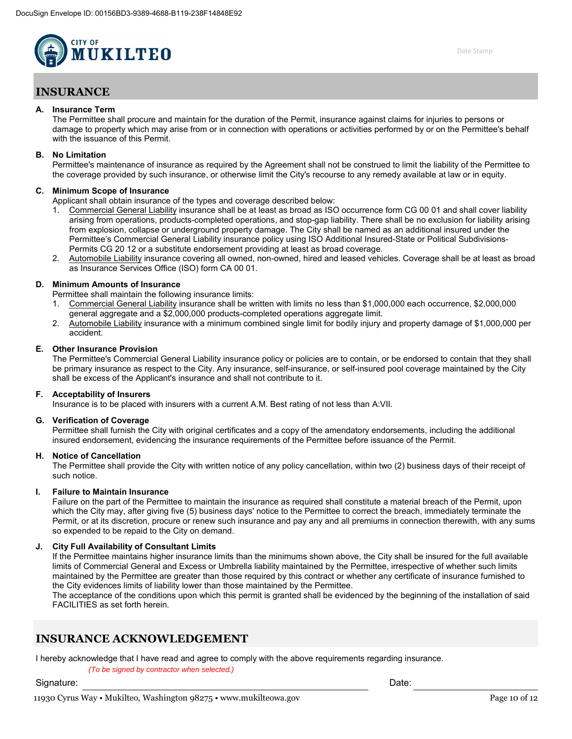

## **INSURANCE**

#### **A. Insurance Term**

The Permittee shall procure and maintain for the duration of the Permit, insurance against claims for injuries to persons or damage to property which may arise from or in connection with operations or activities performed by or on the Permittee's behalf with the issuance of this Permit.

#### **B. No Limitation**

Permittee's maintenance of insurance as required by the Agreement shall not be construed to limit the liability of the Permittee to the coverage provided by such insurance, or otherwise limit the City's recourse to any remedy available at law or in equity.

#### **C. Minimum Scope of Insurance**

Applicant shall obtain insurance of the types and coverage described below:

- 1. Commercial General Liability insurance shall be at least as broad as ISO occurrence form CG 00 01 and shall cover liability arising from operations, products-completed operations, and stop-gap liability. There shall be no exclusion for liability arising from explosion, collapse or underground property damage. The City shall be named as an additional insured under the Permittee's Commercial General Liability insurance policy using ISO Additional Insured-State or Political Subdivisions-Permits CG 20 12 or a substitute endorsement providing at least as broad coverage.
- Automobile Liability insurance covering all owned, non-owned, hired and leased vehicles. Coverage shall be at least as broad as Insurance Services Office (ISO) form CA 00 01.

#### **D. Minimum Amounts of Insurance**

Permittee shall maintain the following insurance limits:

- 1. Commercial General Liability insurance shall be written with limits no less than \$1,000,000 each occurrence, \$2,000,000 general aggregate and a \$2,000,000 products-completed operations aggregate limit.
- 2. Automobile Liability insurance with a minimum combined single limit for bodily injury and property damage of \$1,000,000 per accident.

#### **E. Other Insurance Provision**

The Permittee's Commercial General Liability insurance policy or policies are to contain, or be endorsed to contain that they shall be primary insurance as respect to the City. Any insurance, self-insurance, or self-insured pool coverage maintained by the City shall be excess of the Applicant's insurance and shall not contribute to it.

#### **F. Acceptability of Insurers**

Insurance is to be placed with insurers with a current A.M. Best rating of not less than A:VII.

#### **G. Verification of Coverage**

Permittee shall furnish the City with original certificates and a copy of the amendatory endorsements, including the additional insured endorsement, evidencing the insurance requirements of the Permittee before issuance of the Permit.

#### **H. Notice of Cancellation**

The Permittee shall provide the City with written notice of any policy cancellation, within two (2) business days of their receipt of such notice.

#### **I. Failure to Maintain Insurance**

Failure on the part of the Permittee to maintain the insurance as required shall constitute a material breach of the Permit, upon which the City may, after giving five (5) business days' notice to the Permittee to correct the breach, immediately terminate the Permit, or at its discretion, procure or renew such insurance and pay any and all premiums in connection therewith, with any sums so expended to be repaid to the City on demand.

#### **J. City Full Availability of Consultant Limits**

If the Permittee maintains higher insurance limits than the minimums shown above, the City shall be insured for the full available limits of Commercial General and Excess or Umbrella liability maintained by the Permittee, irrespective of whether such limits maintained by the Permittee are greater than those required by this contract or whether any certificate of insurance furnished to the City evidences limits of liability lower than those maintained by the Permittee.

The acceptance of the conditions upon which this permit is granted shall be evidenced by the beginning of the installation of said FACILITIES as set forth herein.

## **INSURANCE ACKNOWLEDGEMENT**

I hereby acknowledge that I have read and agree to comply with the above requirements regarding insurance.

(To be signed by contractor when selected.)

Signature: Date: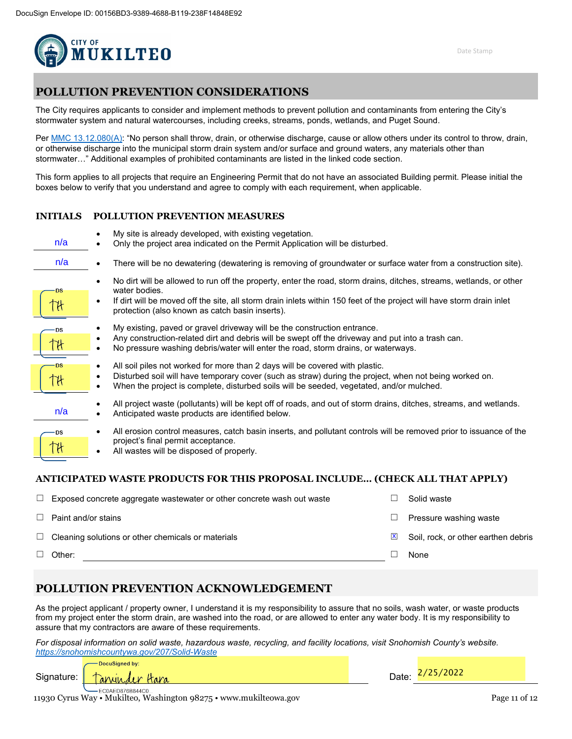

# **POLLUTION PREVENTION CONSIDERATIONS**

The City requires applicants to consider and implement methods to prevent pollution and contaminants from entering the City's stormwater system and natural watercourses, including creeks, streams, ponds, wetlands, and Puget Sound.

Per MMC [13.12.080\(A\):](https://www.codepublishing.com/WA/Mukilteo/#!/Mukilteo13/Mukilteo1312.html) "No person shall throw, drain, or otherwise discharge, cause or allow others under its control to throw, drain, or otherwise discharge into the municipal storm drain system and/or surface and ground waters, any materials other than stormwater…" Additional examples of prohibited contaminants are listed in the linked code section.

This form applies to all projects that require an Engineering Permit that do not have an associated Building permit. Please initial the boxes below to verify that you understand and agree to comply with each requirement, when applicable.

### **INITIALS POLLUTION PREVENTION MEASURES**

| n/a       | My site is already developed, with existing vegetation.<br>Only the project area indicated on the Permit Application will be disturbed.                                                                                                                                                                          |
|-----------|------------------------------------------------------------------------------------------------------------------------------------------------------------------------------------------------------------------------------------------------------------------------------------------------------------------|
| n/a       | There will be no dewatering (dewatering is removing of groundwater or surface water from a construction site).                                                                                                                                                                                                   |
| DS        | No dirt will be allowed to run off the property, enter the road, storm drains, ditches, streams, wetlands, or other<br>water bodies.<br>If dirt will be moved off the site, all storm drain inlets within 150 feet of the project will have storm drain inlet<br>protection (also known as catch basin inserts). |
| -DS       | My existing, paved or gravel driveway will be the construction entrance.<br>Any construction-related dirt and debris will be swept off the driveway and put into a trash can.<br>No pressure washing debris/water will enter the road, storm drains, or waterways.                                               |
| ۰DS       | All soil piles not worked for more than 2 days will be covered with plastic.<br>Disturbed soil will have temporary cover (such as straw) during the project, when not being worked on.<br>When the project is complete, disturbed soils will be seeded, vegetated, and/or mulched.                               |
| n/a       | All project waste (pollutants) will be kept off of roads, and out of storm drains, ditches, streams, and wetlands.<br>Anticipated waste products are identified below.                                                                                                                                           |
| <b>DS</b> | All erosion control measures, catch basin inserts, and pollutant controls will be removed prior to issuance of the<br>project's final permit acceptance.<br>All wastes will be disposed of properly.                                                                                                             |

### **ANTICIPATED WASTE PRODUCTS FOR THIS PROPOSAL INCLUDE… (CHECK ALL THAT APPLY)**

| Other:                                                                 |   | None                                |
|------------------------------------------------------------------------|---|-------------------------------------|
| $\Box$ Cleaning solutions or other chemicals or materials              | X | Soil, rock, or other earthen debris |
| Paint and/or stains                                                    |   | Pressure washing waste              |
| Exposed concrete aggregate wastewater or other concrete wash out waste |   | Solid waste                         |

### **POLLUTION PREVENTION ACKNOWLEDGEMENT**

As the project applicant / property owner, I understand it is my responsibility to assure that no soils, wash water, or waste products from my project enter the storm drain, are washed into the road, or are allowed to enter any water body. It is my responsibility to assure that my contractors are aware of these requirements.

*For disposal information on solid waste, hazardous waste, recycling, and facility locations, visit Snohomish County's website. <https://snohomishcountywa.gov/207/Solid-Waste>*

DocuSigned by:

Signature: <del>Tanyon der Hara</del> -EC0AED876B844C0.

11930 Cyrus Way • Mukilteo, Washington 98275 • www.mukilteowa.gov Page 11 of 12